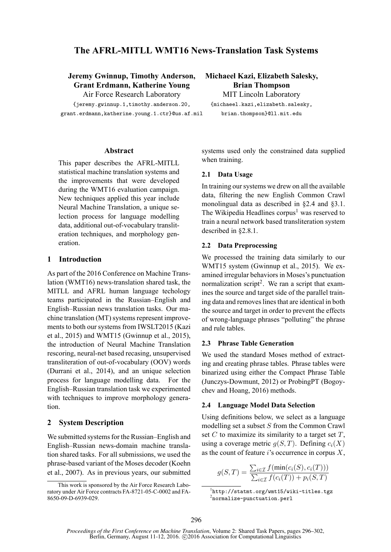# **The AFRL-MITLL WMT16 News-Translation Task Systems**

# **Jeremy Gwinnup, Timothy Anderson, Grant Erdmann, Katherine Young**

Air Force Research Laboratory {jeremy.gwinnup.1,timothy.anderson.20, grant.erdmann,katherine.young.1.ctr}@us.af.mil

**Michaeel Kazi, Elizabeth Salesky, Brian Thompson** MIT Lincoln Laboratory

{michaeel.kazi,elizabeth.salesky, brian.thompson}@ll.mit.edu

#### **Abstract**

This paper describes the AFRL-MITLL statistical machine translation systems and the improvements that were developed during the WMT16 evaluation campaign. New techniques applied this year include Neural Machine Translation, a unique selection process for language modelling data, additional out-of-vocabulary transliteration techniques, and morphology generation.

#### **1 Introduction**

As part of the 2016 Conference on Machine Translation (WMT16) news-translation shared task, the MITLL and AFRL human language techology teams participated in the Russian–English and English–Russian news translation tasks. Our machine translation (MT) systems represent improvements to both our systems from IWSLT2015 (Kazi et al., 2015) and WMT15 (Gwinnup et al., 2015), the introduction of Neural Machine Translation rescoring, neural-net based recasing, unsupervised transliteration of out-of-vocabulary (OOV) words (Durrani et al., 2014), and an unique selection process for language modelling data. For the English–Russian translation task we experimented with techniques to improve morphology generation.

### **2 System Description**

We submitted systems for the Russian–English and English–Russian news-domain machine translation shared tasks. For all submissions, we used the phrase-based variant of the Moses decoder (Koehn et al., 2007). As in previous years, our submitted systems used only the constrained data supplied when training.

#### **2.1 Data Usage**

In training our systems we drew on all the available data, filtering the new English Common Crawl monolingual data as described in §2.4 and §3.1. The Wikipedia Headlines corpus<sup>1</sup> was reserved to train a neural network based transliteration system described in §2.8.1.

#### **2.2 Data Preprocessing**

We processed the training data similarly to our WMT15 system (Gwinnup et al., 2015). We examined irregular behaviors in Moses's punctuation normalization script<sup>2</sup>. We ran a script that examines the source and target side of the parallel training data and removes lines that are identical in both the source and target in order to prevent the effects of wrong-language phrases "polluting" the phrase and rule tables.

# **2.3 Phrase Table Generation**

We used the standard Moses method of extracting and creating phrase tables. Phrase tables were binarized using either the Compact Phrase Table (Junczys-Dowmunt, 2012) or ProbingPT (Bogoychev and Hoang, 2016) methods.

#### **2.4 Language Model Data Selection**

Using definitions below, we select as a language modelling set a subset S from the Common Crawl set  $C$  to maximize its similarity to a target set  $T$ , using a coverage metric  $q(S,T)$ . Defining  $c_i(X)$ as the count of feature i's occurrence in corpus  $X$ ,

$$
g(S,T) = \frac{\sum_{i \in \mathcal{I}} f(\min(c_i(S), c_i(T)))}{\sum_{i \in \mathcal{I}} f(c_i(T)) + p_i(S,T)}
$$

This work is sponsored by the Air Force Research Laboratory under Air Force contracts FA-8721-05-C-0002 and FA-8650-09-D-6939-029.

<sup>1</sup> http://statmt.org/wmt15/wiki-titles.tgz  $^{2}$ normalize-punctuation.perl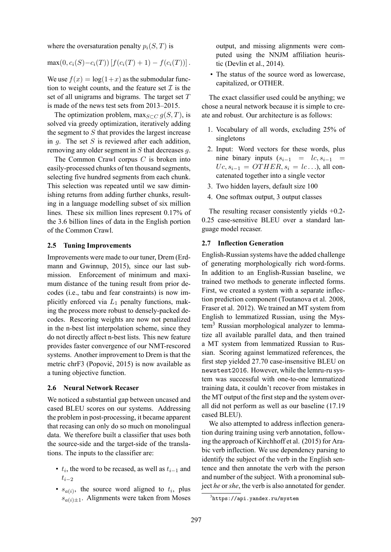where the oversaturation penalty  $p_i(S,T)$  is

$$
\max(0, c_i(S) - c_i(T)) [f(c_i(T) + 1) - f(c_i(T))].
$$

We use  $f(x) = \log(1+x)$  as the submodular function to weight counts, and the feature set  $\mathcal I$  is the set of all unigrams and bigrams. The target set  $T$ is made of the news test sets from 2013–2015.

The optimization problem, max $_{S\subset C}$   $g(S,T)$ , is solved via greedy optimization, iteratively adding the segment to  $S$  that provides the largest increase in  $q$ . The set S is reviewed after each addition. removing any older segment in S that decreases g.

The Common Crawl corpus  $C$  is broken into easily-processed chunks of ten thousand segments, selecting five hundred segments from each chunk. This selection was repeated until we saw diminishing returns from adding further chunks, resulting in a language modelling subset of six million lines. These six million lines represent 0.17% of the 3.6 billion lines of data in the English portion of the Common Crawl.

#### **2.5 Tuning Improvements**

Improvements were made to our tuner, Drem (Erdmann and Gwinnup, 2015), since our last submission. Enforcement of minimum and maximum distance of the tuning result from prior decodes (i.e., tabu and fear constraints) is now implicitly enforced via  $L_1$  penalty functions, making the process more robust to densely-packed decodes. Rescoring weights are now not penalized in the n-best list interpolation scheme, since they do not directly affect n-best lists. This new feature provides faster convergence of our NMT-rescored systems. Another improvement to Drem is that the metric chrF3 (Popović, 2015) is now available as a tuning objective function.

#### **2.6 Neural Network Recaser**

We noticed a substantial gap between uncased and cased BLEU scores on our systems. Addressing the problem in post-processing, it became apparent that recasing can only do so much on monolingual data. We therefore built a classifier that uses both the source-side and the target-side of the translations. The inputs to the classifier are:

- $t_i$ , the word to be recased, as well as  $t_{i-1}$  and  $t_{i-2}$
- $s_{a(i)}$ , the source word aligned to  $t_i$ , plus  $s_{a(i)\pm 1}$ . Alignments were taken from Moses

output, and missing alignments were computed using the NNJM affiliation heuristic (Devlin et al., 2014).

• The status of the source word as lowercase, capitalized, or OTHER.

The exact classifier used could be anything; we chose a neural network because it is simple to create and robust. Our architecture is as follows:

- 1. Vocabulary of all words, excluding 25% of singletons
- 2. Input: Word vectors for these words, plus nine binary inputs  $(s_{i-1} = lc, s_{i-1} =$  $U_{c, s_{i-1}} = OTHER, s_i = lc...$ , all concatenated together into a single vector
- 3. Two hidden layers, default size 100
- 4. One softmax output, 3 output classes

The resulting recaser consistently yields +0.2- 0.25 case-sensitive BLEU over a standard language model recaser.

#### **2.7 Inflection Generation**

English-Russian systems have the added challenge of generating morphologically rich word-forms. In addition to an English-Russian baseline, we trained two methods to generate inflected forms. First, we created a system with a separate inflection prediction component (Toutanova et al. 2008, Fraser et al. 2012). We trained an MT system from English to lemmatized Russian, using the Mystem<sup>3</sup> Russian morphological analyzer to lemmatize all available parallel data, and then trained a MT system from lemmatized Russian to Russian. Scoring against lemmatized references, the first step yielded 27.70 case-insensitive BLEU on newstest2016. However, while the lemru-ru system was successful with one-to-one lemmatized training data, it couldn't recover from mistakes in the MT output of the first step and the system overall did not perform as well as our baseline (17.19 cased BLEU).

We also attempted to address inflection generation during training using verb annotation, following the approach of Kirchhoff et al. (2015) for Arabic verb inflection. We use dependency parsing to identify the subject of the verb in the English sentence and then annotate the verb with the person and number of the subject. With a pronominal subject *he* or *she*, the verb is also annotated for gender.

<sup>3</sup> https://api.yandex.ru/mystem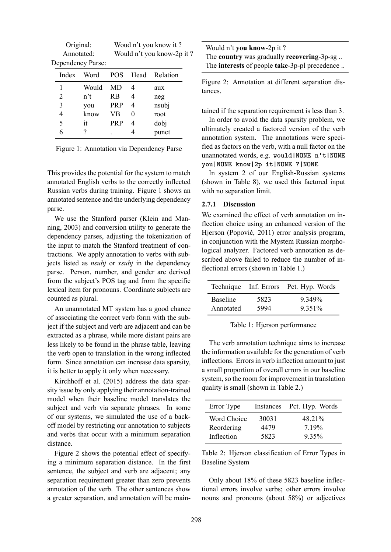| Original:         | Woud n't you know it?      |
|-------------------|----------------------------|
| Annotated:        | Would n't you know-2p it ? |
| Dependency Parse: |                            |

| Index | Word             |            |   | <b>POS</b> Head Relation |
|-------|------------------|------------|---|--------------------------|
| 1     | Would            | MD         | 4 | aux                      |
| 2     | n <sup>2</sup> t | <b>RB</b>  |   | neg                      |
| 3     | you              | <b>PRP</b> | 4 | nsubj                    |
| 4     | know             | VB         |   | root                     |
| 5     | it               | <b>PRP</b> | 4 | dobj                     |
| 6     |                  |            |   | punct                    |

Figure 1: Annotation via Dependency Parse

This provides the potential for the system to match annotated English verbs to the correctly inflected Russian verbs during training. Figure 1 shows an annotated sentence and the underlying dependency parse.

We use the Stanford parser (Klein and Manning, 2003) and conversion utility to generate the dependency parses, adjusting the tokenization of the input to match the Stanford treatment of contractions. We apply annotation to verbs with subjects listed as *nsubj* or *xsubj* in the dependency parse. Person, number, and gender are derived from the subject's POS tag and from the specific lexical item for pronouns. Coordinate subjects are counted as plural.

An unannotated MT system has a good chance of associating the correct verb form with the subject if the subject and verb are adjacent and can be extracted as a phrase, while more distant pairs are less likely to be found in the phrase table, leaving the verb open to translation in the wrong inflected form. Since annotation can increase data sparsity, it is better to apply it only when necessary.

Kirchhoff et al. (2015) address the data sparsity issue by only applying their annotation-trained model when their baseline model translates the subject and verb via separate phrases. In some of our systems, we simulated the use of a backoff model by restricting our annotation to subjects and verbs that occur with a minimum separation distance.

Figure 2 shows the potential effect of specifying a minimum separation distance. In the first sentence, the subject and verb are adjacent; any separation requirement greater than zero prevents annotation of the verb. The other sentences show a greater separation, and annotation will be main-

| Would n't you know-2p it ?                    |
|-----------------------------------------------|
| The country was gradually recovering-3p-sg    |
| The interests of people take-3p-pl precedence |

Figure 2: Annotation at different separation distances.

tained if the separation requirement is less than 3.

In order to avoid the data sparsity problem, we ultimately created a factored version of the verb annotation system. The annotations were specified as factors on the verb, with a null factor on the unannotated words, e.g. **would|NONE n't|NONE you|NONE know|2p it|NONE ?|NONE**

In system 2 of our English-Russian systems (shown in Table 8), we used this factored input with no separation limit.

## **2.7.1 Discussion**

We examined the effect of verb annotation on inflection choice using an enhanced version of the Hjerson (Popović, 2011) error analysis program, in conjunction with the Mystem Russian morphological analyzer. Factored verb annotation as described above failed to reduce the number of inflectional errors (shown in Table 1.)

| 5823 | 9.349%<br>9.351% |
|------|------------------|
|      | 5994             |

Table 1: Hjerson performance

The verb annotation technique aims to increase the information available for the generation of verb inflections. Errors in verb inflection amount to just a small proportion of overall errors in our baseline system, so the room for improvement in translation quality is small (shown in Table 2.)

| Error Type  |       | Instances Pct. Hyp. Words |
|-------------|-------|---------------------------|
| Word Choice | 30031 | 48.21%                    |
| Reordering  | 4479  | 7 19%                     |
| Inflection  | 5823  | $9.35\%$                  |

Table 2: Hjerson classification of Error Types in Baseline System

Only about 18% of these 5823 baseline inflectional errors involve verbs; other errors involve nouns and pronouns (about 58%) or adjectives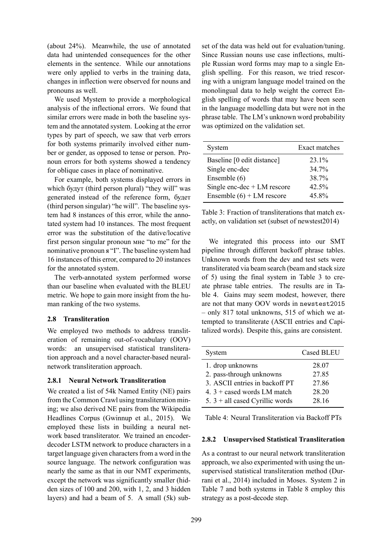(about 24%). Meanwhile, the use of annotated data had unintended consequences for the other elements in the sentence. While our annotations were only applied to verbs in the training data, changes in inflection were observed for nouns and pronouns as well.

We used Mystem to provide a morphological analysis of the inflectional errors. We found that similar errors were made in both the baseline system and the annotated system. Looking at the error types by part of speech, we saw that verb errors for both systems primarily involved either number or gender, as opposed to tense or person. Pronoun errors for both systems showed a tendency for oblique cases in place of nominative.

For example, both systems displayed errors in which будут (third person plural) "they will" was generated instead of the reference form, будет (third person singular) "he will". The baseline system had 8 instances of this error, while the annotated system had 10 instances. The most frequent error was the substitution of the dative/locative first person singular pronoun мне "to me" for the nominative pronoun я "I". The baseline system had 16 instances of this error, compared to 20 instances for the annotated system.

The verb-annotated system performed worse than our baseline when evaluated with the BLEU metric. We hope to gain more insight from the human ranking of the two systems.

#### **2.8 Transliteration**

We employed two methods to address transliteration of remaining out-of-vocabulary (OOV) words: an unsupervised statistical transliteration approach and a novel character-based neuralnetwork transliteration approach.

#### **2.8.1 Neural Network Transliteration**

We created a list of 54k Named Entity (NE) pairs from the Common Crawl using transliteration mining; we also derived NE pairs from the Wikipedia Headlines Corpus (Gwinnup et al., 2015). We employed these lists in building a neural network based transliterator. We trained an encoderdecoder LSTM network to produce characters in a target language given characters from a word in the source language. The network configuration was nearly the same as that in our NMT experiments, except the network was significantly smaller (hidden sizes of 100 and 200, with 1, 2, and 3 hidden layers) and had a beam of 5. A small (5k) sub-

set of the data was held out for evaluation/tuning. Since Russian nouns use case inflections, multiple Russian word forms may map to a single English spelling. For this reason, we tried rescoring with a unigram language model trained on the monolingual data to help weight the correct English spelling of words that may have been seen in the language modelling data but were not in the phrase table. The LM's unknown word probability was optimized on the validation set.

| System                        | Exact matches |
|-------------------------------|---------------|
| Baseline [0 edit distance]    | 23.1%         |
| Single enc-dec                | 34 7%         |
| Ensemble (6)                  | 38.7%         |
| Single enc-dec $+ LM$ rescore | 42.5%         |
| Ensemble $(6)$ + LM rescore   | 45.8%         |

Table 3: Fraction of transliterations that match exactly, on validation set (subset of newstest2014)

We integrated this process into our SMT pipeline through different backoff phrase tables. Unknown words from the dev and test sets were transliterated via beam search (beam and stack size of 5) using the final system in Table 3 to create phrase table entries. The results are in Table 4. Gains may seem modest, however, there are not that many OOV words in newstest2015 – only 817 total unknowns, 515 of which we attempted to transliterate (ASCII entries and Capitalized words). Despite this, gains are consistent.

| System                            | <b>Cased BLEU</b> |
|-----------------------------------|-------------------|
| 1. drop unknowns                  | 28.07             |
| 2. pass-through unknowns          | 27.85             |
| 3. ASCII entries in backoff PT    | 27.86             |
| 4. $3 +$ cased words LM match     | 28.20             |
| 5. $3 +$ all cased Cyrillic words | 28.16             |

Table 4: Neural Transliteration via Backoff PTs

#### **2.8.2 Unsupervised Statistical Transliteration**

As a contrast to our neural network transliteration approach, we also experimented with using the unsupervised statistical transliteration method (Durrani et al., 2014) included in Moses. System 2 in Table 7 and both systems in Table 8 employ this strategy as a post-decode step.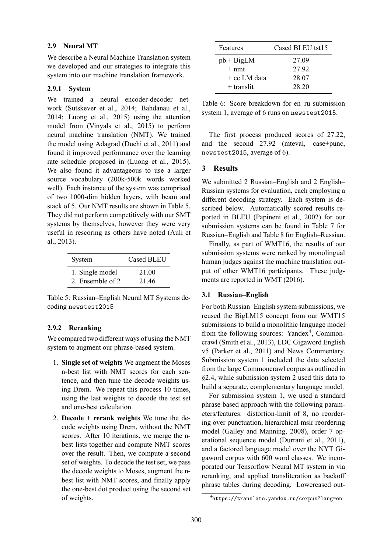## **2.9 Neural MT**

We describe a Neural Machine Translation system we developed and our strategies to integrate this system into our machine translation framework.

## **2.9.1 System**

We trained a neural encoder-decoder network (Sutskever et al., 2014; Bahdanau et al., 2014; Luong et al., 2015) using the attention model from (Vinyals et al., 2015) to perform neural machine translation (NMT). We trained the model using Adagrad (Duchi et al., 2011) and found it improved performance over the learning rate schedule proposed in (Luong et al., 2015). We also found it advantageous to use a larger source vocabulary (200k-500k words worked well). Each instance of the system was comprised of two 1000-dim hidden layers, with beam and stack of 5. Our NMT results are shown in Table 5. They did not perform competitively with our SMT systems by themselves, however they were very useful in rescoring as others have noted (Auli et al., 2013).

| System           | Cased BLEU |
|------------------|------------|
| 1. Single model  | 21.00      |
| 2. Ensemble of 2 | 21.46      |

Table 5: Russian–English Neural MT Systems decoding newstest2015

## **2.9.2 Reranking**

We compared two different ways of using the NMT system to augment our phrase-based system.

- 1. **Single set of weights** We augment the Moses n-best list with NMT scores for each sentence, and then tune the decode weights using Drem. We repeat this process 10 times, using the last weights to decode the test set and one-best calculation.
- 2. **Decode + rerank weights** We tune the decode weights using Drem, without the NMT scores. After 10 iterations, we merge the nbest lists together and compute NMT scores over the result. Then, we compute a second set of weights. To decode the test set, we pass the decode weights to Moses, augment the nbest list with NMT scores, and finally apply the one-best dot product using the second set of weights.

| Features        | Cased BLEU tst15 |
|-----------------|------------------|
| $pb + BigLM$    | 27.09            |
| $+ \text{nm}$ t | 2792             |
| $+$ cc LM data  | 28.07            |
| $+$ translit    | 28 20            |

Table 6: Score breakdown for en–ru submission system 1, average of 6 runs on newstest2015.

The first process produced scores of 27.22, and the second 27.92 (mteval, case+punc, newstest2015, average of 6).

# **3 Results**

We submitted 2 Russian–English and 2 English– Russian systems for evaluation, each employing a different decoding strategy. Each system is described below. Automatically scored results reported in BLEU (Papineni et al., 2002) for our submission systems can be found in Table 7 for Russian–English and Table 8 for English–Russian.

Finally, as part of WMT16, the results of our submission systems were ranked by monolingual human judges against the machine translation output of other WMT16 participants. These judgments are reported in WMT (2016).

## **3.1 Russian–English**

For both Russian–English system submissions, we reused the BigLM15 concept from our WMT15 submissions to build a monolithic language model from the following sources: Yandex<sup>4</sup>, Commoncrawl (Smith et al., 2013), LDC Gigaword English v5 (Parker et al., 2011) and News Commentary. Submission system 1 included the data selected from the large Commoncrawl corpus as outlined in §2.4, while submission system 2 used this data to build a separate, complementary language model.

For submission system 1, we used a standard phrase based approach with the following parameters/features: distortion-limit of 8, no reordering over punctuation, hierarchical mslr reordering model (Galley and Manning, 2008), order 7 operational sequence model (Durrani et al., 2011), and a factored language model over the NYT Gigaword corpus with 600 word classes. We incorporated our Tensorflow Neural MT system in via reranking, and applied transliteration as backoff phrase tables during decoding. Lowercased out-

<sup>4</sup> https://translate.yandex.ru/corpus?lang=en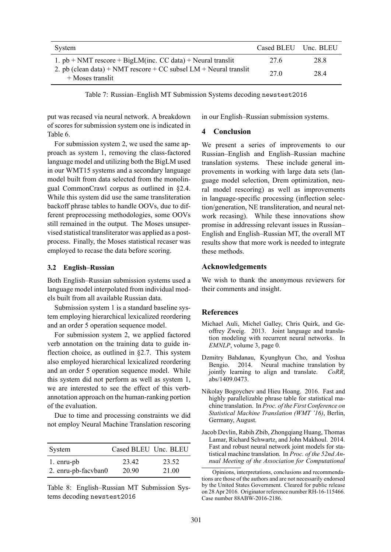| System                                                                                    | Cased BLEU | Unc. BLEU |
|-------------------------------------------------------------------------------------------|------------|-----------|
| 1. $pb + NMT$ rescore + BigLM(inc. CC data) + Neural translit                             | 27.6       | 28.8      |
| 2. pb (clean data) + NMT rescore + $CC$ subsel $LM$ + Neural translit<br>+ Moses translit | 27 Q       | 28.4      |

Table 7: Russian–English MT Submission Systems decoding newstest2016

put was recased via neural network. A breakdown of scores for submission system one is indicated in Table 6.

For submission system 2, we used the same approach as system 1, removing the class-factored language model and utilizing both the BigLM used in our WMT15 systems and a secondary language model built from data selected from the monolingual CommonCrawl corpus as outlined in §2.4. While this system did use the same transliteration backoff phrase tables to handle OOVs, due to different preprocessing methodologies, some OOVs still remained in the output. The Moses unsupervised statistical transliterator was applied as a postprocess. Finally, the Moses statistical recaser was employed to recase the data before scoring.

#### **3.2 English–Russian**

Both English–Russian submission systems used a language model interpolated from individual models built from all available Russian data.

Submission system 1 is a standard baseline system employing hierarchical lexicalized reordering and an order 5 operation sequence model.

For submission system 2, we applied factored verb annotation on the training data to guide inflection choice, as outlined in §2.7. This system also employed hierarchical lexicalized reordering and an order 5 operation sequence model. While this system did not perform as well as system 1, we are interested to see the effect of this verbannotation approach on the human-ranking portion of the evaluation.

Due to time and processing constraints we did not employ Neural Machine Translation rescoring

| System              | Cased BLEU Unc. BLEU |       |
|---------------------|----------------------|-------|
| 1. enru-pb          | 23.42                | 23.52 |
| 2. enru-pb-facvban0 | 20.90                | 21.00 |

Table 8: English–Russian MT Submission Systems decoding newstest2016

in our English–Russian submission systems.

### **4 Conclusion**

We present a series of improvements to our Russian–English and English–Russian machine translation systems. These include general improvements in working with large data sets (language model selection, Drem optimization, neural model rescoring) as well as improvements in language-specific processing (inflection selection/generation, NE transliteration, and neural network recasing). While these innovations show promise in addressing relevant issues in Russian– English and English–Russian MT, the overall MT results show that more work is needed to integrate these methods.

#### **Acknowledgements**

We wish to thank the anonymous reviewers for their comments and insight.

#### **References**

- Michael Auli, Michel Galley, Chris Quirk, and Geoffrey Zweig. 2013. Joint language and translation modeling with recurrent neural networks. In *EMNLP*, volume 3, page 0.
- Dzmitry Bahdanau, Kyunghyun Cho, and Yoshua Bengio. 2014. Neural machine translation by jointly learning to align and translate. *CoRR*, abs/1409.0473.
- Nikolay Bogoychev and Hieu Hoang. 2016. Fast and highly parallelizable phrase table for statistical machine translation. In *Proc. of the First Conference on Statistical Machine Translation (WMT '16)*, Berlin, Germany, August.
- Jacob Devlin, Rabih Zbib, Zhongqiang Huang, Thomas Lamar, Richard Schwartz, and John Makhoul. 2014. Fast and robust neural network joint models for statistical machine translation. In *Proc. of the 52nd Annual Meeting of the Association for Computational*

Opinions, interpretations, conclusions and recommendations are those of the authors and are not necessarily endorsed by the United States Government. Cleared for public release on 28 Apr 2016. Originator reference number RH-16-115466. Case number 88ABW-2016-2186.